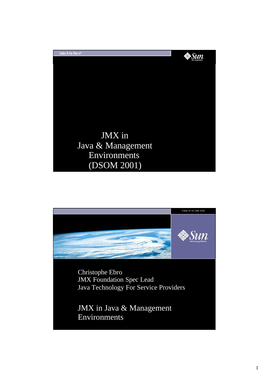

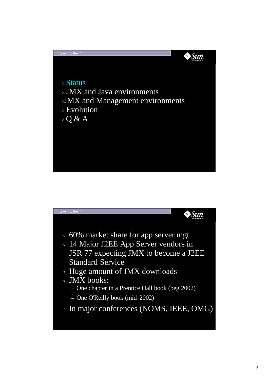

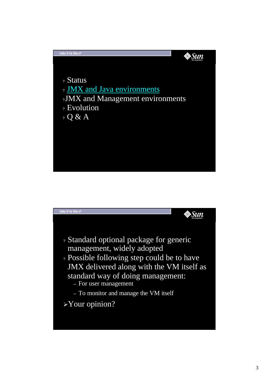

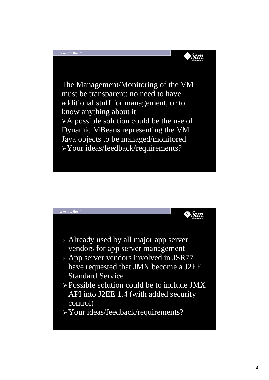

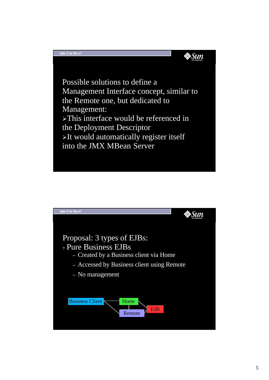

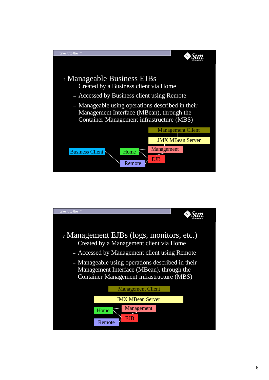

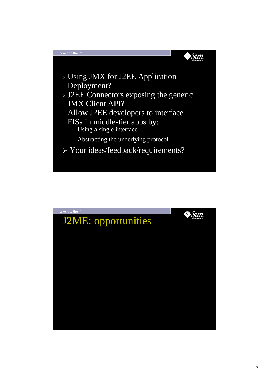

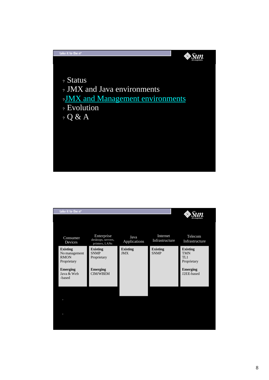

| take it to the n <sup>th</sup>                                                                            |                                                                                     |                               |                                |                                                                                      |
|-----------------------------------------------------------------------------------------------------------|-------------------------------------------------------------------------------------|-------------------------------|--------------------------------|--------------------------------------------------------------------------------------|
|                                                                                                           | Enterprise                                                                          |                               | Internet                       |                                                                                      |
| Consumer<br>Devices                                                                                       | desktops, servers,<br>printers, LANs                                                | Java<br>Applications          | Infrastructure                 | Telecom<br>Infrastructure                                                            |
| <b>Existing</b><br>No management<br><b>RMON</b><br>Proprietary<br><b>Emerging</b><br>Java & Web<br>-based | <b>Existing</b><br><b>SNMP</b><br>Proprietary<br><b>Emerging</b><br><b>CIM/WBEM</b> | <b>Existing</b><br><b>JMX</b> | <b>Existing</b><br><b>SNMP</b> | <b>Existing</b><br><b>TMN</b><br>TL1<br>Proprietary<br><b>Emerging</b><br>J2EE-based |
|                                                                                                           |                                                                                     |                               |                                |                                                                                      |
| $\overline{\phantom{a}}$                                                                                  |                                                                                     |                               |                                |                                                                                      |
| $\overline{\phantom{a}}$                                                                                  |                                                                                     |                               |                                |                                                                                      |
|                                                                                                           |                                                                                     |                               |                                |                                                                                      |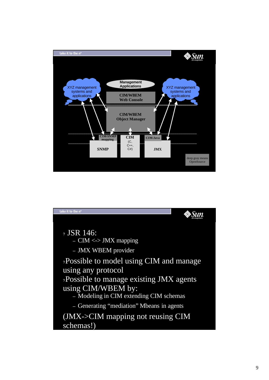

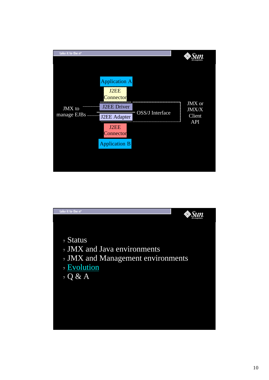

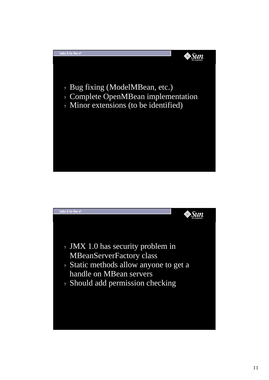

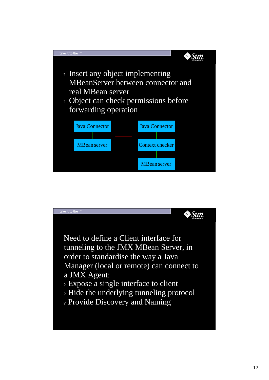

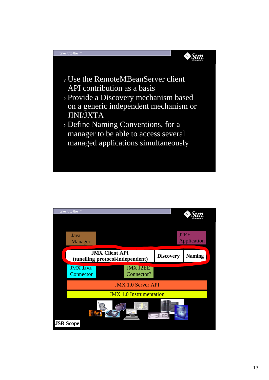